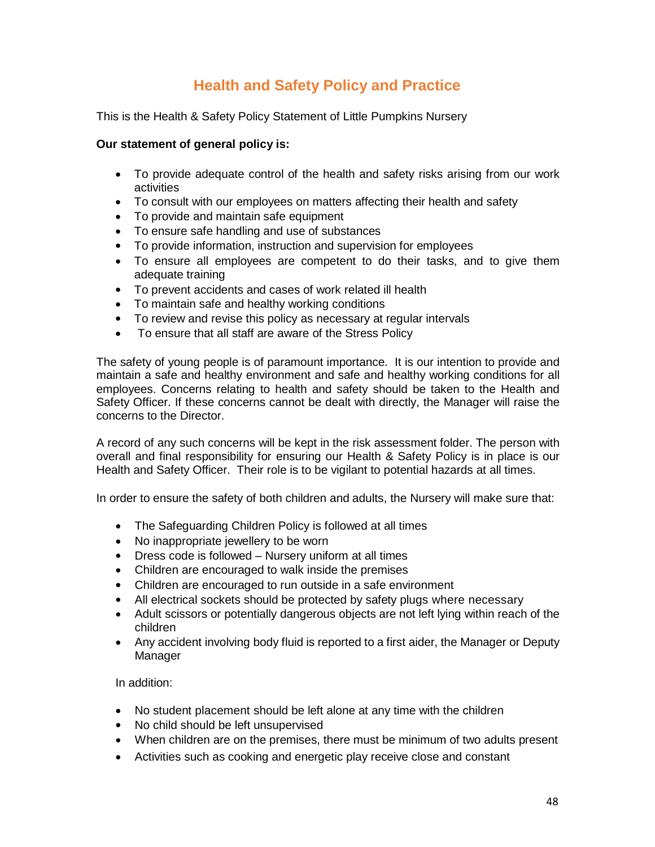# **Health and Safety Policy and Practice**

This is the Health & Safety Policy Statement of Little Pumpkins Nursery

### **Our statement of general policy is:**

- To provide adequate control of the health and safety risks arising from our work activities
- To consult with our employees on matters affecting their health and safety
- To provide and maintain safe equipment
- To ensure safe handling and use of substances
- To provide information, instruction and supervision for employees
- To ensure all employees are competent to do their tasks, and to give them adequate training
- To prevent accidents and cases of work related ill health
- To maintain safe and healthy working conditions
- To review and revise this policy as necessary at regular intervals
- To ensure that all staff are aware of the Stress Policy

The safety of young people is of paramount importance. It is our intention to provide and maintain a safe and healthy environment and safe and healthy working conditions for all employees. Concerns relating to health and safety should be taken to the Health and Safety Officer. If these concerns cannot be dealt with directly, the Manager will raise the concerns to the Director.

A record of any such concerns will be kept in the risk assessment folder. The person with overall and final responsibility for ensuring our Health & Safety Policy is in place is our Health and Safety Officer. Their role is to be vigilant to potential hazards at all times.

In order to ensure the safety of both children and adults, the Nursery will make sure that:

- The Safeguarding Children Policy is followed at all times
- No inappropriate jewellery to be worn
- Dress code is followed Nursery uniform at all times
- Children are encouraged to walk inside the premises
- Children are encouraged to run outside in a safe environment
- All electrical sockets should be protected by safety plugs where necessary
- Adult scissors or potentially dangerous objects are not left lying within reach of the children
- Any accident involving body fluid is reported to a first aider, the Manager or Deputy Manager

In addition:

- No student placement should be left alone at any time with the children
- No child should be left unsupervised
- When children are on the premises, there must be minimum of two adults present
- Activities such as cooking and energetic play receive close and constant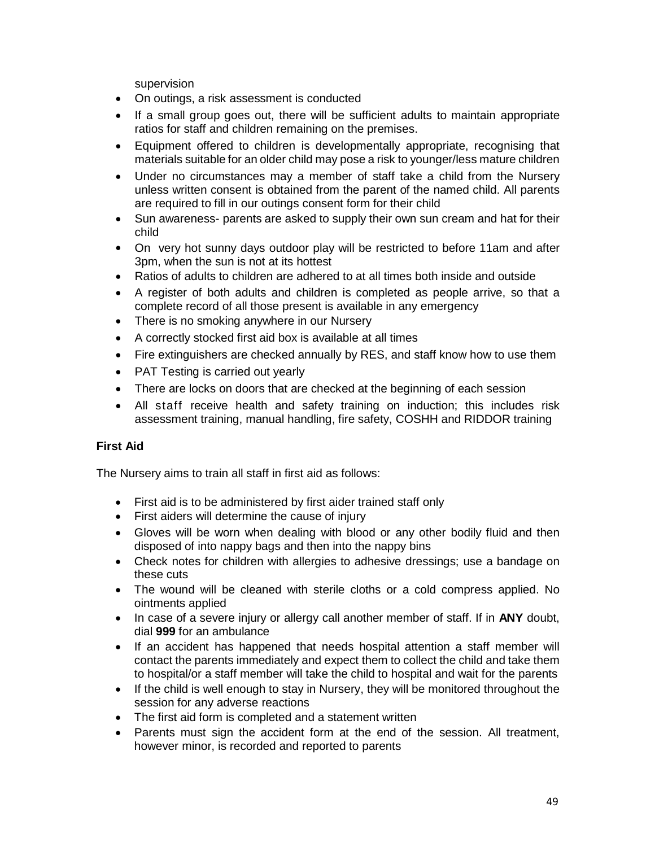supervision

- On outings, a risk assessment is conducted
- If a small group goes out, there will be sufficient adults to maintain appropriate ratios for staff and children remaining on the premises.
- Equipment offered to children is developmentally appropriate, recognising that materials suitable for an older child may pose a risk to younger/less mature children
- Under no circumstances may a member of staff take a child from the Nursery unless written consent is obtained from the parent of the named child. All parents are required to fill in our outings consent form for their child
- Sun awareness- parents are asked to supply their own sun cream and hat for their child
- On very hot sunny days outdoor play will be restricted to before 11am and after 3pm, when the sun is not at its hottest
- Ratios of adults to children are adhered to at all times both inside and outside
- A register of both adults and children is completed as people arrive, so that a complete record of all those present is available in any emergency
- There is no smoking anywhere in our Nursery
- A correctly stocked first aid box is available at all times
- Fire extinguishers are checked annually by RES, and staff know how to use them
- PAT Testing is carried out yearly
- There are locks on doors that are checked at the beginning of each session
- All staff receive health and safety training on induction; this includes risk assessment training, manual handling, fire safety, COSHH and RIDDOR training

## **First Aid**

The Nursery aims to train all staff in first aid as follows:

- First aid is to be administered by first aider trained staff only
- First aiders will determine the cause of injury
- Gloves will be worn when dealing with blood or any other bodily fluid and then disposed of into nappy bags and then into the nappy bins
- Check notes for children with allergies to adhesive dressings; use a bandage on these cuts
- The wound will be cleaned with sterile cloths or a cold compress applied. No ointments applied
- In case of a severe injury or allergy call another member of staff. If in **ANY** doubt, dial **999** for an ambulance
- If an accident has happened that needs hospital attention a staff member will contact the parents immediately and expect them to collect the child and take them to hospital/or a staff member will take the child to hospital and wait for the parents
- If the child is well enough to stay in Nursery, they will be monitored throughout the session for any adverse reactions
- The first aid form is completed and a statement written
- Parents must sign the accident form at the end of the session. All treatment, however minor, is recorded and reported to parents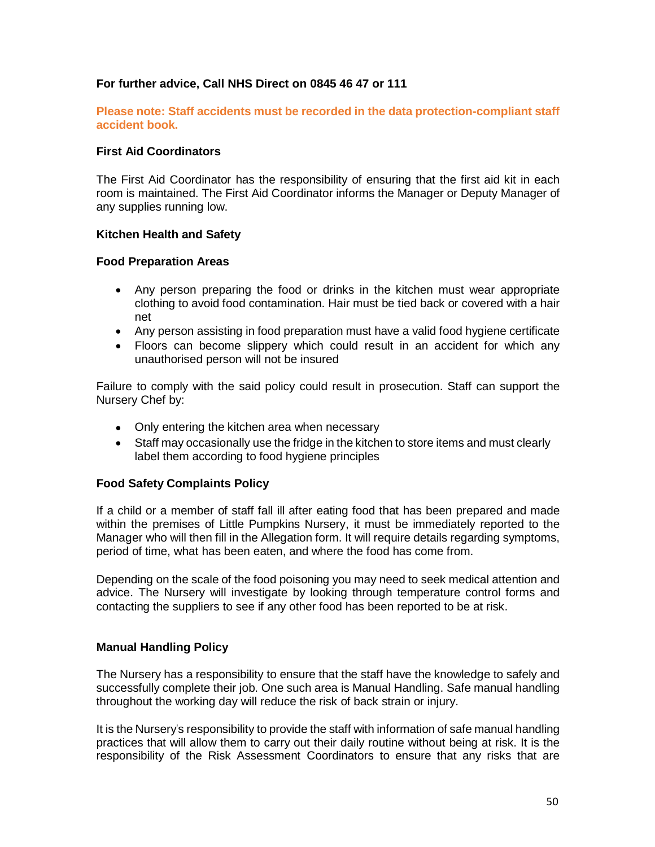## **For further advice, Call NHS Direct on 0845 46 47 or 111**

**Please note: Staff accidents must be recorded in the data protection-compliant staff accident book.**

#### **First Aid Coordinators**

The First Aid Coordinator has the responsibility of ensuring that the first aid kit in each room is maintained. The First Aid Coordinator informs the Manager or Deputy Manager of any supplies running low.

#### **Kitchen Health and Safety**

#### **Food Preparation Areas**

- Any person preparing the food or drinks in the kitchen must wear appropriate clothing to avoid food contamination. Hair must be tied back or covered with a hair net
- Any person assisting in food preparation must have a valid food hygiene certificate
- Floors can become slippery which could result in an accident for which any unauthorised person will not be insured

Failure to comply with the said policy could result in prosecution. Staff can support the Nursery Chef by:

- Only entering the kitchen area when necessary
- Staff may occasionally use the fridge in the kitchen to store items and must clearly label them according to food hygiene principles

## **Food Safety Complaints Policy**

If a child or a member of staff fall ill after eating food that has been prepared and made within the premises of Little Pumpkins Nursery, it must be immediately reported to the Manager who will then fill in the Allegation form. It will require details regarding symptoms, period of time, what has been eaten, and where the food has come from.

Depending on the scale of the food poisoning you may need to seek medical attention and advice. The Nursery will investigate by looking through temperature control forms and contacting the suppliers to see if any other food has been reported to be at risk.

## **Manual Handling Policy**

The Nursery has a responsibility to ensure that the staff have the knowledge to safely and successfully complete their job. One such area is Manual Handling. Safe manual handling throughout the working day will reduce the risk of back strain or injury.

It is the Nursery's responsibility to provide the staff with information of safe manual handling practices that will allow them to carry out their daily routine without being at risk. It is the responsibility of the Risk Assessment Coordinators to ensure that any risks that are